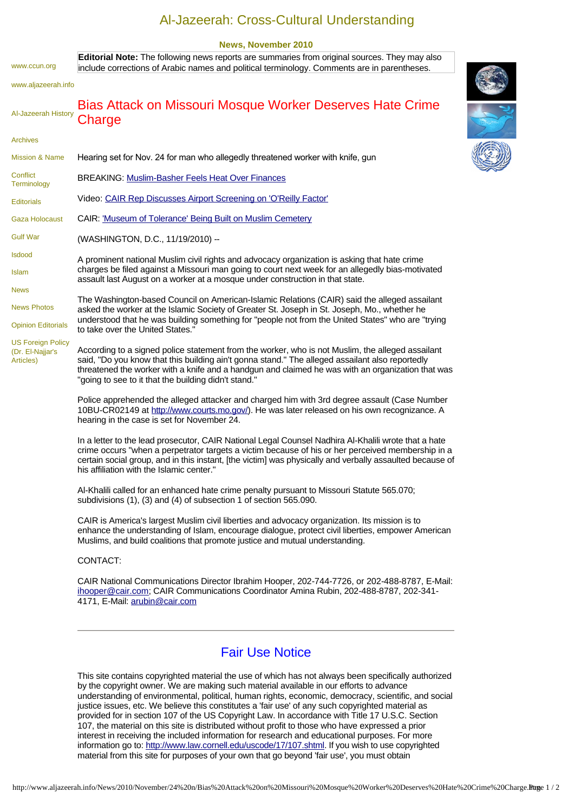## Al-Jazeerah: Cross-Cultural Understanding

## **News, November 2010**

[www.ccun.org](http://www.ccun.org/) [www.aljazeerah.info](http://www.aljazeerah.info/) [Al-Jazeerah History](http://www.aljazeerah.info/Editorials/History%20of%20Al-Jazeerah.htm) [Archives](http://www.aljazeerah.info/Editorials/Al-Jazeerah%20Archives,%20web%20archives%20org.htm) [Mission & Name](http://www.aljazeerah.info/Editorials/2002/April%202002/Mission.htm) **Conflict [Terminology](http://www.aljazeerah.info/Editorials/2004%20editorials/September/Conflict%20Terminology%20A%20Note%20For%20Editors,%20Journalists,%20and%20Readers%20By%20Hassan%20El-Najjar.htm)** [Editorials](http://www.ccun.org/Editorials/Al-Jazeerah%20&%20ccun.org%20Editorial%20Links.htm) [Gaza Holocaust](http://www.ccun.org/Documents/The%20Gaza%20Holocaust%20Israeli%20Attacks%20on%20Jabalia%20February%2027-March%203,%202008.htm) [Gulf War](http://www.gulfwar1991.com/) [Isdood](http://www.ccun.org/Documents/Isdood%20Brief%20History.htm) [Islam](http://www.aljazeerah.info/Islam/Islam%20Guidance%20to%20Humanity.htm) [News](http://www.ccun.org/News/News%20Links.htm) [News Photos](http://www.ccun.org/News%20Photos/News%20Photos.htm) [Opinion Editorials](http://www.ccun.org/Opinion%20Editorials/Opinion%20Editorial%20Links.htm) [US Foreign Policy](http://www.ccun.org/Editorials/Hassan%20Ali%20El-Najjar.htm)  (Dr. El-Najjar's Articles) Bias Attack on Missouri Mosque Worker Deserves Hate Crime **Charge** Hearing set for Nov. 24 for man who allegedly threatened worker with knife, gun BREAKING: [Muslim-Basher Feels Heat Over Finances](http://r20.rs6.net/tn.jsp?llr=95acjidab&et=1103945675936&s=40091&e=001Rivw-vNmoanY3hfkkRsrFeM6dboSsRK4oZGRWjgvG0KByDmwDIa_lTRHEQR5OtGQZ1PqVa5U6T5OZIE7iYoDR1xWHPabhkpp_8TZZwY2YL7V905N7xKzsfZeTuNplXjjeDjukcAXx1A=)  Video: [CAIR Rep Discusses Airport Screening on 'O'Reilly Factor'](http://r20.rs6.net/tn.jsp?llr=95acjidab&et=1103945675936&s=40091&e=001Rivw-vNmoan5Wnlk09cxtb0DXOS8iOElp8QJ-k8qwLN7mrCaZYDfc3nUFzVILEy2NMbBkWeByq1G1NRPv_FJSLt2jtLGU8ILsW3RtmqOsadP4HV0K_R0TmkmiGYGoz_ry5EeMyXWcKRzbh2jLDrRSA==) CAIR: ['Museum of Tolerance' Being Built on Muslim Cemetery](http://r20.rs6.net/tn.jsp?llr=95acjidab&et=1103945675936&s=40091&e=001Rivw-vNmoakk8FAjrQQ2ykl0k1weQjnPxsG4MiWHip3oFCrqXZb4AdaJSq1C8O5UH-3JZOAJXWqmaBAC0GzOe_cdj6-AQbx6Xpk7iXN9K2mD8TdSLdvjAtbOfoRslIf3zqFPI-OZ5fxF0WPUMQAUrA==) (WASHINGTON, D.C., 11/19/2010) -- A prominent national Muslim civil rights and advocacy organization is asking that hate crime charges be filed against a Missouri man going to court next week for an allegedly bias-motivated assault last August on a worker at a mosque under construction in that state. The Washington-based Council on American-Islamic Relations (CAIR) said the alleged assailant asked the worker at the Islamic Society of Greater St. Joseph in St. Joseph, Mo., whether he understood that he was building something for "people not from the United States" who are "trying to take over the United States." According to a signed police statement from the worker, who is not Muslim, the alleged assailant said, "Do you know that this building ain't gonna stand." The alleged assailant also reportedly threatened the worker with a knife and a handgun and claimed he was with an organization that was "going to see to it that the building didn't stand." Police apprehended the alleged attacker and charged him with 3rd degree assault (Case Number 10BU-CR02149 at [http://www.courts.mo.gov/\)](http://r20.rs6.net/tn.jsp?llr=95acjidab&et=1103945675936&s=40091&e=001Rivw-vNmoaksfFGITyGWPMu06A8PFqNj3XoSyKQAKjbIsyB9NfpYEjz-GYd85zCbTdyCNvniZ6QQxnLhBMsUFw05cVJEl1DyzjIldyO9yguJEvCETjejqg==). He was later released on his own recognizance. A hearing in the case is set for November 24. In a letter to the lead prosecutor, CAIR National Legal Counsel Nadhira Al-Khalili wrote that a hate crime occurs "when a perpetrator targets a victim because of his or her perceived membership in a certain social group, and in this instant, [the victim] was physically and verbally assaulted because of his affiliation with the Islamic center." Al-Khalili called for an enhanced hate crime penalty pursuant to Missouri Statute 565.070; **Editorial Note:** The following news reports are summaries from original sources. They may also include corrections of Arabic names and political terminology. Comments are in parentheses.

subdivisions (1), (3) and (4) of subsection 1 of section 565.090.

CAIR is America's largest Muslim civil liberties and advocacy organization. Its mission is to enhance the understanding of Islam, encourage dialogue, protect civil liberties, empower American Muslims, and build coalitions that promote justice and mutual understanding.

## CONTACT:

CAIR National Communications Director Ibrahim Hooper, 202-744-7726, or 202-488-8787, E-Mail: [ihooper@cair.com](mailto:ihooper@cair.com); CAIR Communications Coordinator Amina Rubin, 202-488-8787, 202-341- 4171, E-Mail: [arubin@cair.com](mailto:arubin@cair.com)

## Fair Use Notice

This site contains copyrighted material the use of which has not always been specifically authorized by the copyright owner. We are making such material available in our efforts to advance understanding of environmental, political, human rights, economic, democracy, scientific, and social justice issues, etc. We believe this constitutes a 'fair use' of any such copyrighted material as provided for in section 107 of the US Copyright Law. In accordance with Title 17 U.S.C. Section 107, the material on this site is distributed without profit to those who have expressed a prior interest in receiving the included information for research and educational purposes. For more information go to:<http://www.law.cornell.edu/uscode/17/107.shtml>. If you wish to use copyrighted material from this site for purposes of your own that go beyond 'fair use', you must obtain